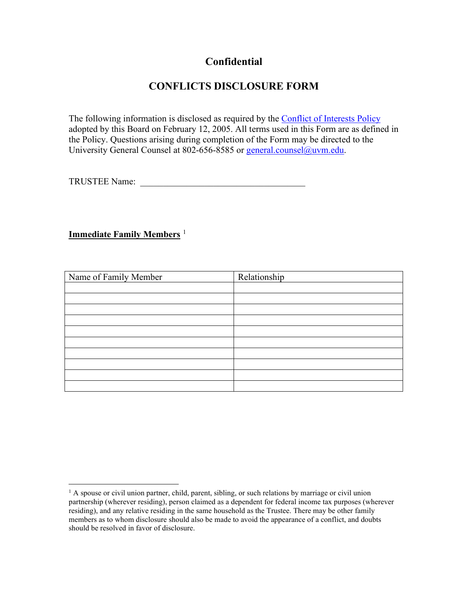## **Confidential**

# **CONFLICTS DISCLOSURE FORM**

The following information is disclosed as required by the Conflict [of Interests](https://www.uvm.edu/sites/default/files/UVM-Board-of-Trustees/policy_manual/IV3a_conflict_of_interest_policy.pdf) Policy adopted by this Board on February 12, 2005. All terms used in this Form are as defined in the Policy. Questions arising during completion of the Form may be directed to the University General Counsel at 802-656-8585 or [general.counsel@uvm.edu.](mailto:general.counsel@uvm.edu)

TRUSTEE Name:

### **Immediate Family Members** [1](#page-0-0)

| Name of Family Member | Relationship |
|-----------------------|--------------|
|                       |              |
|                       |              |
|                       |              |
|                       |              |
|                       |              |
|                       |              |
|                       |              |
|                       |              |
|                       |              |
|                       |              |

<span id="page-0-0"></span> $<sup>1</sup>$  A spouse or civil union partner, child, parent, sibling, or such relations by marriage or civil union</sup> partnership (wherever residing), person claimed as a dependent for federal income tax purposes (wherever residing), and any relative residing in the same household as the Trustee. There may be other family members as to whom disclosure should also be made to avoid the appearance of a conflict, and doubts should be resolved in favor of disclosure.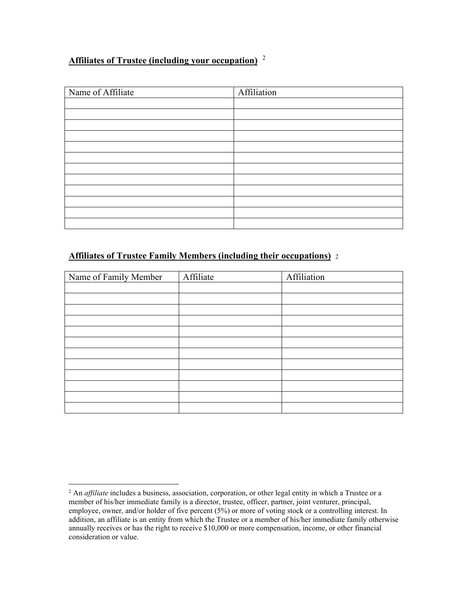## **Affiliates of Trustee (including your occupation)** [2](#page-1-0)

| Name of Affiliate | Affiliation |
|-------------------|-------------|
|                   |             |
|                   |             |
|                   |             |
|                   |             |
|                   |             |
|                   |             |
|                   |             |
|                   |             |
|                   |             |
|                   |             |
|                   |             |
|                   |             |

#### **Affiliates of Trustee Family Members (including their occupations)** <sup>2</sup>

| Name of Family Member | Affiliate | Affiliation |
|-----------------------|-----------|-------------|
|                       |           |             |
|                       |           |             |
|                       |           |             |
|                       |           |             |
|                       |           |             |
|                       |           |             |
|                       |           |             |
|                       |           |             |
|                       |           |             |
|                       |           |             |
|                       |           |             |
|                       |           |             |

<span id="page-1-0"></span><sup>&</sup>lt;sup>2</sup> An *affiliate* includes a business, association, corporation, or other legal entity in which a Trustee or a member of his/her immediate family is a director, trustee, officer, partner, joint venturer, principal, employee, owner, and/or holder of five percent (5%) or more of voting stock or a controlling interest. In addition, an affiliate is an entity from which the Trustee or a member of his/her immediate family otherwise annually receives or has the right to receive \$10,000 or more compensation, income, or other financial consideration or value.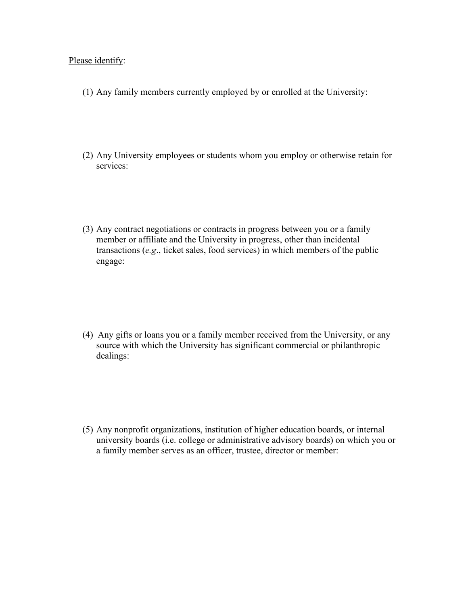#### Please identify:

- (1) Any family members currently employed by or enrolled at the University:
- (2) Any University employees or students whom you employ or otherwise retain for services:
- (3) Any contract negotiations or contracts in progress between you or a family member or affiliate and the University in progress, other than incidental transactions (*e.g*., ticket sales, food services) in which members of the public engage:

(4) Any gifts or loans you or a family member received from the University, or any source with which the University has significant commercial or philanthropic dealings:

(5) Any nonprofit organizations, institution of higher education boards, or internal university boards (i.e. college or administrative advisory boards) on which you or a family member serves as an officer, trustee, director or member: